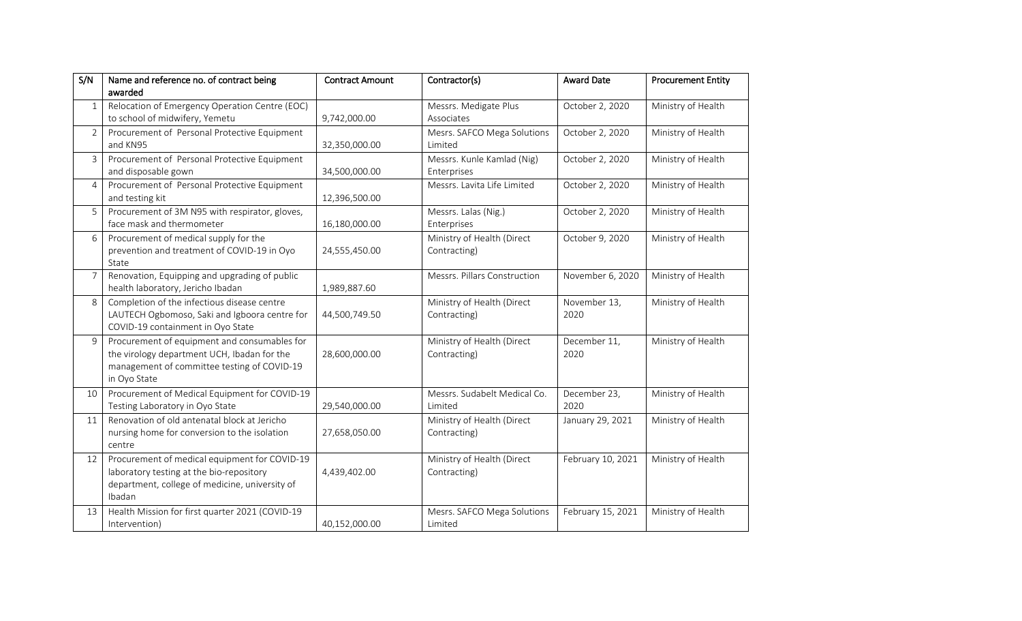| S/N            | Name and reference no. of contract being<br>awarded                                                                                                        | <b>Contract Amount</b> | Contractor(s)                              | <b>Award Date</b>    | <b>Procurement Entity</b> |
|----------------|------------------------------------------------------------------------------------------------------------------------------------------------------------|------------------------|--------------------------------------------|----------------------|---------------------------|
| $\mathbf{1}$   | Relocation of Emergency Operation Centre (EOC)<br>to school of midwifery, Yemetu                                                                           | 9,742,000.00           | Messrs. Medigate Plus<br>Associates        | October 2, 2020      | Ministry of Health        |
| $\overline{2}$ | Procurement of Personal Protective Equipment<br>and KN95                                                                                                   | 32,350,000.00          | Mesrs. SAFCO Mega Solutions<br>Limited     | October 2, 2020      | Ministry of Health        |
| 3              | Procurement of Personal Protective Equipment<br>and disposable gown                                                                                        | 34,500,000.00          | Messrs. Kunle Kamlad (Nig)<br>Enterprises  | October 2, 2020      | Ministry of Health        |
| 4              | Procurement of Personal Protective Equipment<br>and testing kit                                                                                            | 12,396,500.00          | Messrs. Lavita Life Limited                | October 2, 2020      | Ministry of Health        |
| 5              | Procurement of 3M N95 with respirator, gloves,<br>face mask and thermometer                                                                                | 16,180,000.00          | Messrs. Lalas (Nig.)<br>Enterprises        | October 2, 2020      | Ministry of Health        |
| 6              | Procurement of medical supply for the<br>prevention and treatment of COVID-19 in Oyo<br>State                                                              | 24,555,450.00          | Ministry of Health (Direct<br>Contracting) | October 9, 2020      | Ministry of Health        |
| 7              | Renovation, Equipping and upgrading of public<br>health laboratory, Jericho Ibadan                                                                         | 1,989,887.60           | Messrs. Pillars Construction               | November 6, 2020     | Ministry of Health        |
| 8              | Completion of the infectious disease centre<br>LAUTECH Ogbomoso, Saki and Igboora centre for<br>COVID-19 containment in Oyo State                          | 44,500,749.50          | Ministry of Health (Direct<br>Contracting) | November 13,<br>2020 | Ministry of Health        |
| 9              | Procurement of equipment and consumables for<br>the virology department UCH, Ibadan for the<br>management of committee testing of COVID-19<br>in Oyo State | 28,600,000.00          | Ministry of Health (Direct<br>Contracting) | December 11,<br>2020 | Ministry of Health        |
| 10             | Procurement of Medical Equipment for COVID-19<br>Testing Laboratory in Oyo State                                                                           | 29,540,000.00          | Messrs. Sudabelt Medical Co.<br>Limited    | December 23,<br>2020 | Ministry of Health        |
| 11             | Renovation of old antenatal block at Jericho<br>nursing home for conversion to the isolation<br>centre                                                     | 27,658,050.00          | Ministry of Health (Direct<br>Contracting) | January 29, 2021     | Ministry of Health        |
| 12             | Procurement of medical equipment for COVID-19<br>laboratory testing at the bio-repository<br>department, college of medicine, university of<br>Ibadan      | 4,439,402.00           | Ministry of Health (Direct<br>Contracting) | February 10, 2021    | Ministry of Health        |
| 13             | Health Mission for first quarter 2021 (COVID-19<br>Intervention)                                                                                           | 40,152,000.00          | Mesrs. SAFCO Mega Solutions<br>Limited     | February 15, 2021    | Ministry of Health        |